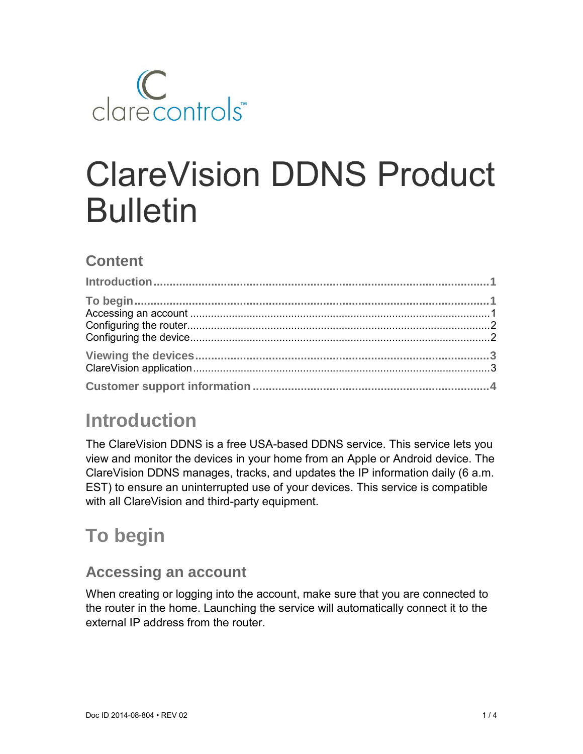

# ClareVision DDNS Product Bulletin

#### **Content**

# **Introduction**

The ClareVision DDNS is a free USA-based DDNS service. This service lets you view and monitor the devices in your home from an Apple or Android device. The ClareVision DDNS manages, tracks, and updates the IP information daily (6 a.m. EST) to ensure an uninterrupted use of your devices. This service is compatible with all ClareVision and third-party equipment.

# **To begin**

#### **Accessing an account**

When creating or logging into the account, make sure that you are connected to the router in the home. Launching the service will automatically connect it to the external IP address from the router.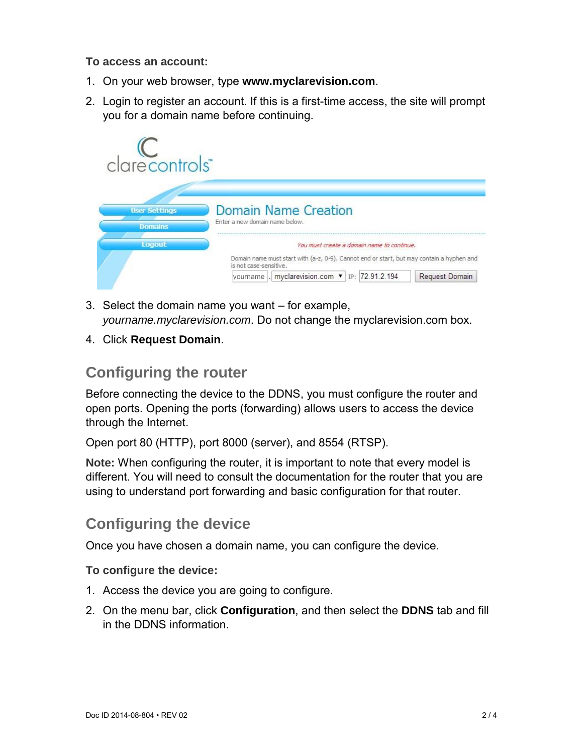#### **To access an account:**

- 1. On your web browser, type **www.myclarevision.com**.
- 2. Login to register an account. If this is a first-time access, the site will prompt you for a domain name before continuing.

| clarecontrols"                         |                                                                                                                                                                                                                                       |
|----------------------------------------|---------------------------------------------------------------------------------------------------------------------------------------------------------------------------------------------------------------------------------------|
| <b>User Settings</b><br><b>Domains</b> | <b>Domain Name Creation</b><br>Enter a new domain name below.                                                                                                                                                                         |
| Logout                                 | You must create a domain name to continue.<br>Domain name must start with (a-z, 0-9). Cannot end or start, but may contain a hyphen and<br>is not case-sensitive.<br>vourname . myclarevision.com ▼ IP: 72.91.2.194<br>Request Domain |

- 3. Select the domain name you want for example, *yourname.myclarevision.com*. Do not change the myclarevision.com box.
- 4. Click **Request Domain**.

#### **Configuring the router**

Before connecting the device to the DDNS, you must configure the router and open ports. Opening the ports (forwarding) allows users to access the device through the Internet.

Open port 80 (HTTP), port 8000 (server), and 8554 (RTSP).

**Note:** When configuring the router, it is important to note that every model is different. You will need to consult the documentation for the router that you are using to understand port forwarding and basic configuration for that router.

#### **Configuring the device**

Once you have chosen a domain name, you can configure the device.

**To configure the device:** 

- 1. Access the device you are going to configure.
- 2. On the menu bar, click **Configuration**, and then select the **DDNS** tab and fill in the DDNS information.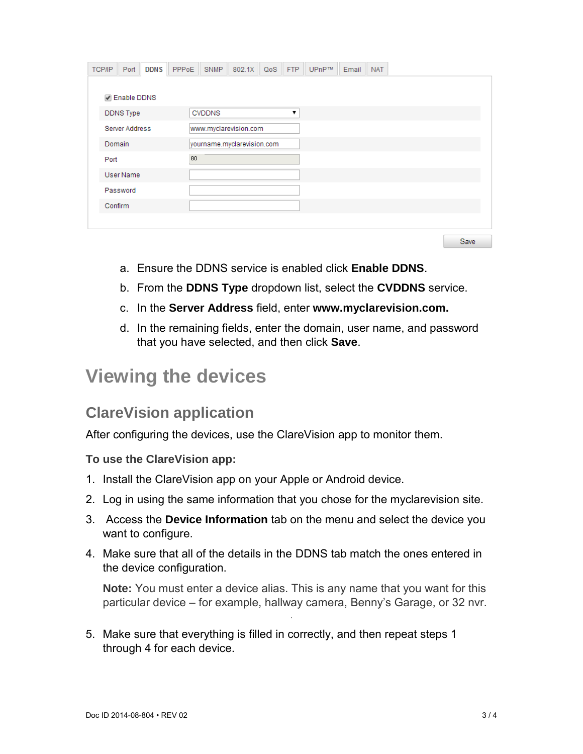| <b>TCP/IP</b> | Port                 | <b>DDNS</b> | PPP <sub>oE</sub>     | <b>SNMP</b>                | 802.1X | QoS | <b>FTP</b> | UPnP™ | Email | <b>NAT</b> |  |  |
|---------------|----------------------|-------------|-----------------------|----------------------------|--------|-----|------------|-------|-------|------------|--|--|
|               |                      |             |                       |                            |        |     |            |       |       |            |  |  |
|               | <b>√</b> Enable DDNS |             |                       |                            |        |     |            |       |       |            |  |  |
|               | <b>DDNS</b> Type     |             |                       | <b>CVDDNS</b>              |        |     | ▼          |       |       |            |  |  |
|               | Server Address       |             | www.myclarevision.com |                            |        |     |            |       |       |            |  |  |
| Domain        |                      |             |                       | yourname.myclarevision.com |        |     |            |       |       |            |  |  |
| Port          |                      |             | 80                    |                            |        |     |            |       |       |            |  |  |
|               | User Name            |             |                       |                            |        |     |            |       |       |            |  |  |
|               | Password             |             |                       |                            |        |     |            |       |       |            |  |  |
| Confirm       |                      |             |                       |                            |        |     |            |       |       |            |  |  |
|               |                      |             |                       |                            |        |     |            |       |       |            |  |  |
|               |                      |             |                       |                            |        |     |            |       |       |            |  |  |

Save

- a. Ensure the DDNS service is enabled click **Enable DDNS**.
- b. From the **DDNS Type** dropdown list, select the **CVDDNS** service.
- c. In the **Server Address** field, enter **www.myclarevision.com.**
- d. In the remaining fields, enter the domain, user name, and password that you have selected, and then click **Save**.

### **Viewing the devices**

#### **ClareVision application**

After configuring the devices, use the ClareVision app to monitor them.

**To use the ClareVision app:** 

- 1. Install the ClareVision app on your Apple or Android device.
- 2. Log in using the same information that you chose for the myclarevision site.
- 3. Access the **Device Information** tab on the menu and select the device you want to configure.
- 4. Make sure that all of the details in the DDNS tab match the ones entered in the device configuration.

**Note:** You must enter a device alias. This is any name that you want for this particular device – for example, hallway camera, Benny's Garage, or 32 nvr.

5. Make sure that everything is filled in correctly, and then repeat steps 1 through 4 for each device.